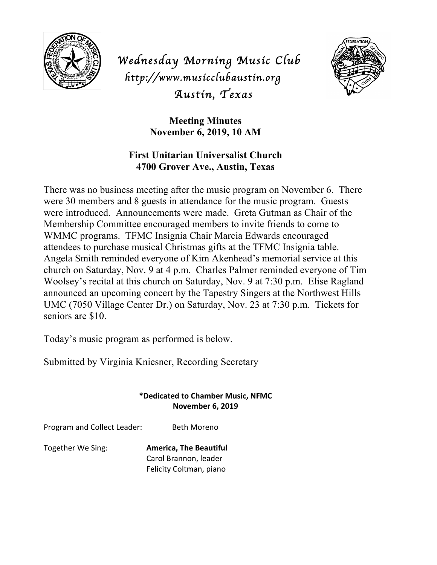

*Wednesday Morning Music Club http://www.musicclubaustin.org Austin, Texas* 



**Meeting Minutes November 6, 2019, 10 AM**

## **First Unitarian Universalist Church 4700 Grover Ave., Austin, Texas**

There was no business meeting after the music program on November 6. There were 30 members and 8 guests in attendance for the music program. Guests were introduced. Announcements were made. Greta Gutman as Chair of the Membership Committee encouraged members to invite friends to come to WMMC programs. TFMC Insignia Chair Marcia Edwards encouraged attendees to purchase musical Christmas gifts at the TFMC Insignia table. Angela Smith reminded everyone of Kim Akenhead's memorial service at this church on Saturday, Nov. 9 at 4 p.m. Charles Palmer reminded everyone of Tim Woolsey's recital at this church on Saturday, Nov. 9 at 7:30 p.m. Elise Ragland announced an upcoming concert by the Tapestry Singers at the Northwest Hills UMC (7050 Village Center Dr.) on Saturday, Nov. 23 at 7:30 p.m. Tickets for seniors are \$10.

Today's music program as performed is below.

Submitted by Virginia Kniesner, Recording Secretary

## **\*Dedicated to Chamber Music, NFMC November 6, 2019**

Program and Collect Leader: Beth Moreno

**Together We Sing: America, The Beautiful** Carol Brannon, leader Felicity Coltman, piano